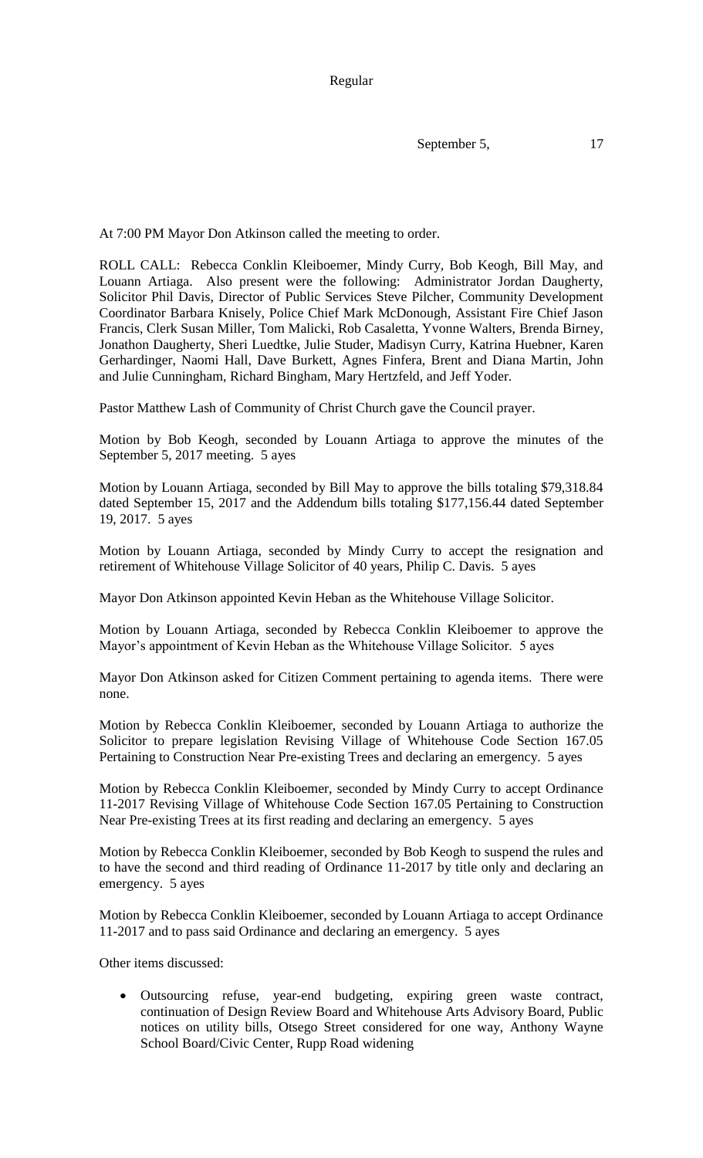Regular

September 5, 17

At 7:00 PM Mayor Don Atkinson called the meeting to order.

ROLL CALL: Rebecca Conklin Kleiboemer, Mindy Curry, Bob Keogh, Bill May, and Louann Artiaga. Also present were the following: Administrator Jordan Daugherty, Solicitor Phil Davis, Director of Public Services Steve Pilcher, Community Development Coordinator Barbara Knisely, Police Chief Mark McDonough, Assistant Fire Chief Jason Francis, Clerk Susan Miller, Tom Malicki, Rob Casaletta, Yvonne Walters, Brenda Birney, Jonathon Daugherty, Sheri Luedtke, Julie Studer, Madisyn Curry, Katrina Huebner, Karen Gerhardinger, Naomi Hall, Dave Burkett, Agnes Finfera, Brent and Diana Martin, John and Julie Cunningham, Richard Bingham, Mary Hertzfeld, and Jeff Yoder.

Pastor Matthew Lash of Community of Christ Church gave the Council prayer.

Motion by Bob Keogh, seconded by Louann Artiaga to approve the minutes of the September 5, 2017 meeting. 5 ayes

Motion by Louann Artiaga, seconded by Bill May to approve the bills totaling \$79,318.84 dated September 15, 2017 and the Addendum bills totaling \$177,156.44 dated September 19, 2017. 5 ayes

Motion by Louann Artiaga, seconded by Mindy Curry to accept the resignation and retirement of Whitehouse Village Solicitor of 40 years, Philip C. Davis. 5 ayes

Mayor Don Atkinson appointed Kevin Heban as the Whitehouse Village Solicitor.

Motion by Louann Artiaga, seconded by Rebecca Conklin Kleiboemer to approve the Mayor's appointment of Kevin Heban as the Whitehouse Village Solicitor. 5 ayes

Mayor Don Atkinson asked for Citizen Comment pertaining to agenda items. There were none.

Motion by Rebecca Conklin Kleiboemer, seconded by Louann Artiaga to authorize the Solicitor to prepare legislation Revising Village of Whitehouse Code Section 167.05 Pertaining to Construction Near Pre-existing Trees and declaring an emergency. 5 ayes

Motion by Rebecca Conklin Kleiboemer, seconded by Mindy Curry to accept Ordinance 11-2017 Revising Village of Whitehouse Code Section 167.05 Pertaining to Construction Near Pre-existing Trees at its first reading and declaring an emergency. 5 ayes

Motion by Rebecca Conklin Kleiboemer, seconded by Bob Keogh to suspend the rules and to have the second and third reading of Ordinance 11-2017 by title only and declaring an emergency. 5 ayes

Motion by Rebecca Conklin Kleiboemer, seconded by Louann Artiaga to accept Ordinance 11-2017 and to pass said Ordinance and declaring an emergency. 5 ayes

Other items discussed:

 Outsourcing refuse, year-end budgeting, expiring green waste contract, continuation of Design Review Board and Whitehouse Arts Advisory Board, Public notices on utility bills, Otsego Street considered for one way, Anthony Wayne School Board/Civic Center, Rupp Road widening